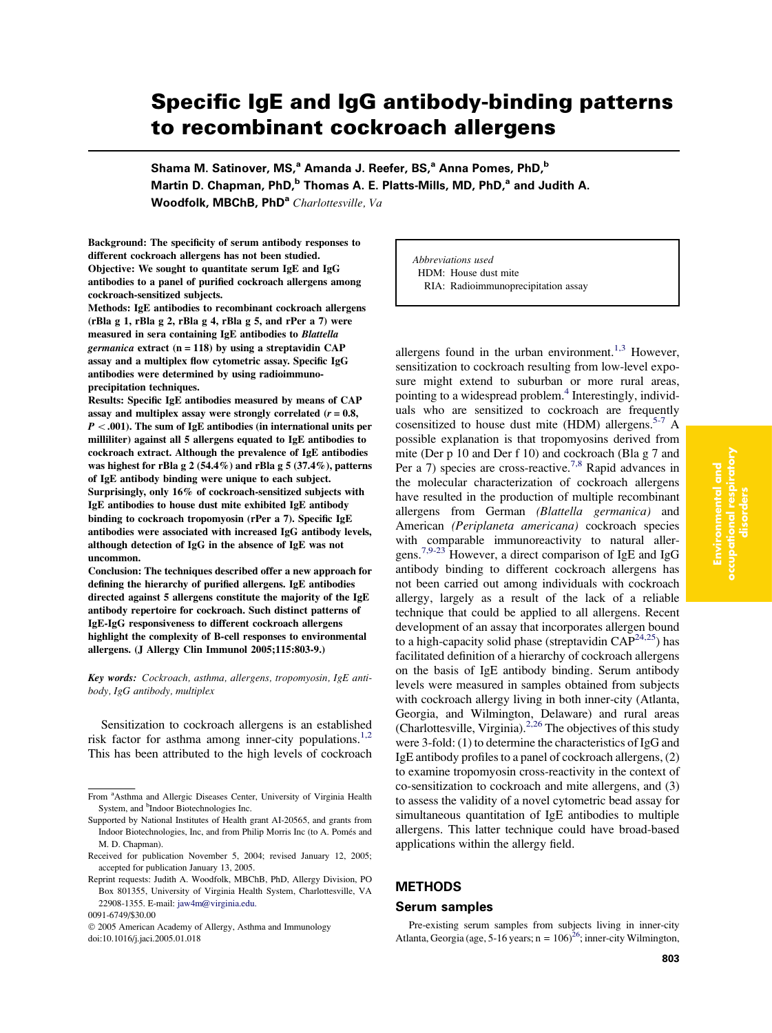# Specific IgE and IgG antibody-binding patterns to recombinant cockroach allergens

Shama M. Satinover, MS,<sup>a</sup> Amanda J. Reefer, BS,<sup>a</sup> Anna Pomes, PhD,<sup>b</sup> Martin D. Chapman, PhD,<sup>b</sup> Thomas A. E. Platts-Mills, MD, PhD,<sup>a</sup> and Judith A. Woodfolk, MBChB, PhD<sup>a</sup> Charlottesville, Va

Background: The specificity of serum antibody responses to different cockroach allergens has not been studied. Objective: We sought to quantitate serum IgE and IgG antibodies to a panel of purified cockroach allergens among cockroach-sensitized subjects.

Methods: IgE antibodies to recombinant cockroach allergens (rBla g 1, rBla g 2, rBla g 4, rBla g 5, and rPer a 7) were measured in sera containing IgE antibodies to Blattella germanica extract  $(n = 118)$  by using a streptavidin CAP assay and a multiplex flow cytometric assay. Specific IgG antibodies were determined by using radioimmunoprecipitation techniques.

Results: Specific IgE antibodies measured by means of CAP assay and multiplex assay were strongly correlated  $(r = 0.8,$ P *\*.001). The sum of IgE antibodies (in international units per milliliter) against all 5 allergens equated to IgE antibodies to cockroach extract. Although the prevalence of IgE antibodies was highest for rBla g 2 (54.4%) and rBla g 5 (37.4%), patterns of IgE antibody binding were unique to each subject. Surprisingly, only 16% of cockroach-sensitized subjects with IgE antibodies to house dust mite exhibited IgE antibody binding to cockroach tropomyosin (rPer a 7). Specific IgE antibodies were associated with increased IgG antibody levels, although detection of IgG in the absence of IgE was not uncommon.

Conclusion: The techniques described offer a new approach for defining the hierarchy of purified allergens. IgE antibodies directed against 5 allergens constitute the majority of the IgE antibody repertoire for cockroach. Such distinct patterns of IgE-IgG responsiveness to different cockroach allergens highlight the complexity of B-cell responses to environmental allergens. (J Allergy Clin Immunol 2005;115:803-9.)

Key words: Cockroach, asthma, allergens, tropomyosin, IgE antibody, IgG antibody, multiplex

Sensitization to cockroach allergens is an established risk factor for asthma among inner-city populations.<sup>[1,2](#page-5-0)</sup> This has been attributed to the high levels of cockroach Abbreviations used HDM: House dust mite RIA: Radioimmunoprecipitation assay

allergens found in the urban environment.<sup>[1,3](#page-5-0)</sup> However, sensitization to cockroach resulting from low-level exposure might extend to suburban or more rural areas, pointing to a widespread problem.<sup>[4](#page-5-0)</sup> Interestingly, individuals who are sensitized to cockroach are frequently cosensitized to house dust mite (HDM) allergens.<sup>[5-7](#page-5-0)</sup> A possible explanation is that tropomyosins derived from mite (Der p 10 and Der f 10) and cockroach (Bla g 7 and Per a 7) species are cross-reactive.<sup>[7,8](#page-5-0)</sup> Rapid advances in the molecular characterization of cockroach allergens have resulted in the production of multiple recombinant allergens from German (Blattella germanica) and American (Periplaneta americana) cockroach species with comparable immunoreactivity to natural allergens.[7,9-23](#page-5-0) However, a direct comparison of IgE and IgG antibody binding to different cockroach allergens has not been carried out among individuals with cockroach allergy, largely as a result of the lack of a reliable technique that could be applied to all allergens. Recent development of an assay that incorporates allergen bound to a high-capacity solid phase (streptavidin  $CAP^{24,25}$ ) has facilitated definition of a hierarchy of cockroach allergens on the basis of IgE antibody binding. Serum antibody levels were measured in samples obtained from subjects with cockroach allergy living in both inner-city (Atlanta, Georgia, and Wilmington, Delaware) and rural areas (Charlottesville, Virginia). $2,26$  The objectives of this study were 3-fold: (1) to determine the characteristics of IgG and IgE antibody profiles to a panel of cockroach allergens, (2) to examine tropomyosin cross-reactivity in the context of co-sensitization to cockroach and mite allergens, and (3) to assess the validity of a novel cytometric bead assay for simultaneous quantitation of IgE antibodies to multiple allergens. This latter technique could have broad-based applications within the allergy field.

# **METHODS**

#### Serum samples

Environmental and occupational respiratory disorders

Pre-existing serum samples from subjects living in inner-city Atlanta, Georgia (age, 5-16 years;  $n = 106$ )<sup>26</sup>; inner-city Wilmington,

From <sup>a</sup>Asthma and Allergic Diseases Center, University of Virginia Health System, and <sup>b</sup>Indoor Biotechnologies Inc.

Supported by National Institutes of Health grant AI-20565, and grants from Indoor Biotechnologies, Inc, and from Philip Morris Inc (to A. Pomés and M. D. Chapman).

Received for publication November 5, 2004; revised January 12, 2005; accepted for publication January 13, 2005.

Reprint requests: Judith A. Woodfolk, MBChB, PhD, Allergy Division, PO Box 801355, University of Virginia Health System, Charlottesville, VA 22908-1355. E-mail: [jaw4m@virginia.edu.](mailto:jaw4m@virginia.edu)

<sup>0091-6749/\$30.00</sup>

2005 American Academy of Allergy, Asthma and Immunology doi:10.1016/j.jaci.2005.01.018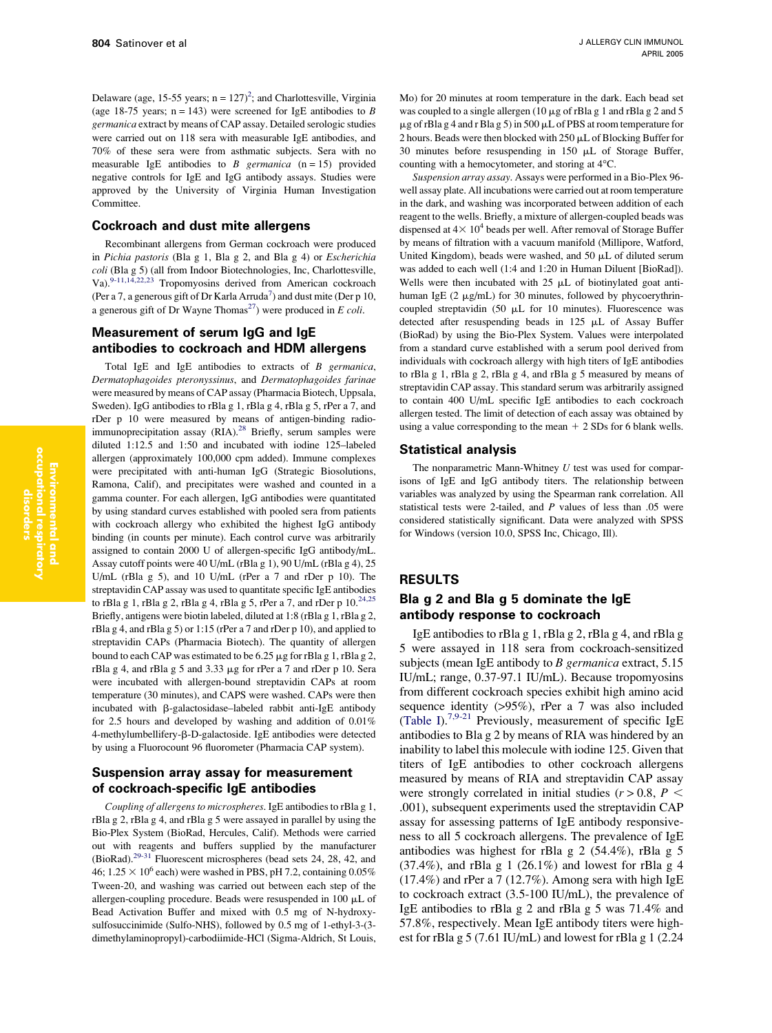Delaware (age, 15-55 years;  $n = 127$  $n = 127$  $n = 127$ )<sup>2</sup>; and Charlottesville, Virginia (age 18-75 years;  $n = 143$ ) were screened for IgE antibodies to B germanica extract by means of CAP assay. Detailed serologic studies were carried out on 118 sera with measurable IgE antibodies, and 70% of these sera were from asthmatic subjects. Sera with no measurable IgE antibodies to  $B$  germanica (n = 15) provided negative controls for IgE and IgG antibody assays. Studies were approved by the University of Virginia Human Investigation Committee.

#### Cockroach and dust mite allergens

Recombinant allergens from German cockroach were produced in Pichia pastoris (Bla g 1, Bla g 2, and Bla g 4) or Escherichia coli (Bla g 5) (all from Indoor Biotechnologies, Inc, Charlottesville, Va).<sup>[9-11,14,22,23](#page-5-0)</sup> Tropomyosins derived from American cockroach (Per a 7, a generous gift of Dr Karla Arruda<sup>7</sup>) and dust mite (Der p 10, a generous gift of Dr Wayne Thomas<sup>27</sup>) were produced in E coli.

# Measurement of serum IgG and IgE antibodies to cockroach and HDM allergens

Total IgE and IgE antibodies to extracts of B germanica, Dermatophagoides pteronyssinus, and Dermatophagoides farinae were measured by means of CAP assay (Pharmacia Biotech, Uppsala, Sweden). IgG antibodies to rBla g 1, rBla g 4, rBla g 5, rPer a 7, and rDer p 10 were measured by means of antigen-binding radio-immunoprecipitation assay (RIA).<sup>[28](#page-6-0)</sup> Briefly, serum samples were diluted 1:12.5 and 1:50 and incubated with iodine 125–labeled allergen (approximately 100,000 cpm added). Immune complexes were precipitated with anti-human IgG (Strategic Biosolutions, Ramona, Calif), and precipitates were washed and counted in a gamma counter. For each allergen, IgG antibodies were quantitated by using standard curves established with pooled sera from patients with cockroach allergy who exhibited the highest IgG antibody binding (in counts per minute). Each control curve was arbitrarily assigned to contain 2000 U of allergen-specific IgG antibody/mL. Assay cutoff points were 40 U/mL (rBla g 1), 90 U/mL (rBla g 4), 25 U/mL (rBla g 5), and 10 U/mL (rPer a 7 and rDer p 10). The streptavidin CAP assay was used to quantitate specific IgE antibodies to rBla g 1, rBla g 2, rBla g 4, rBla g 5, rPer a 7, and rDer p  $10.^{24,25}$  $10.^{24,25}$  $10.^{24,25}$ Briefly, antigens were biotin labeled, diluted at 1:8 (rBla g 1, rBla g 2, rBla g 4, and rBla g 5) or 1:15 (rPer a 7 and rDer p 10), and applied to streptavidin CAPs (Pharmacia Biotech). The quantity of allergen bound to each CAP was estimated to be 6.25 µg for rBla g 1, rBla g 2, rBla g 4, and rBla g 5 and 3.33  $\mu$ g for rPer a 7 and rDer p 10. Sera were incubated with allergen-bound streptavidin CAPs at room temperature (30 minutes), and CAPS were washed. CAPs were then incubated with  $\beta$ -galactosidase-labeled rabbit anti-IgE antibody for 2.5 hours and developed by washing and addition of 0.01% 4-methylumbellifery-b-D-galactoside. IgE antibodies were detected by using a Fluorocount 96 fluorometer (Pharmacia CAP system).

## Suspension array assay for measurement of cockroach-specific IgE antibodies

Coupling of allergens to microspheres. IgE antibodies to rBla g 1, rBla g 2, rBla g 4, and rBla g 5 were assayed in parallel by using the Bio-Plex System (BioRad, Hercules, Calif). Methods were carried out with reagents and buffers supplied by the manufacturer (BioRad)[.29-31](#page-6-0) Fluorescent microspheres (bead sets 24, 28, 42, and 46;  $1.25 \times 10^6$  each) were washed in PBS, pH 7.2, containing 0.05% Tween-20, and washing was carried out between each step of the allergen-coupling procedure. Beads were resuspended in 100  $\mu$ L of Bead Activation Buffer and mixed with 0.5 mg of N-hydroxysulfosuccinimide (Sulfo-NHS), followed by 0.5 mg of 1-ethyl-3-(3 dimethylaminopropyl)-carbodiimide-HCl (Sigma-Aldrich, St Louis,

Mo) for 20 minutes at room temperature in the dark. Each bead set was coupled to a single allergen (10  $\mu$ g of rBla g 1 and rBla g 2 and 5  $\mu$ g of rBla g 4 and r Bla g 5) in 500  $\mu$ L of PBS at room temperature for 2 hours. Beads were then blocked with 250  $\mu$ L of Blocking Buffer for 30 minutes before resuspending in 150 mL of Storage Buffer, counting with a hemocytometer, and storing at  $4^{\circ}$ C.

Suspension array assay. Assays were performed in a Bio-Plex 96 well assay plate. All incubations were carried out at room temperature in the dark, and washing was incorporated between addition of each reagent to the wells. Briefly, a mixture of allergen-coupled beads was dispensed at  $4\times 10^4$  beads per well. After removal of Storage Buffer by means of filtration with a vacuum manifold (Millipore, Watford, United Kingdom), beads were washed, and 50  $\mu$ L of diluted serum was added to each well (1:4 and 1:20 in Human Diluent [BioRad]). Wells were then incubated with  $25 \mu L$  of biotinylated goat antihuman IgE  $(2 \mu g/mL)$  for 30 minutes, followed by phycoerythrincoupled streptavidin (50  $\mu$ L for 10 minutes). Fluorescence was detected after resuspending beads in  $125 \mu L$  of Assay Buffer (BioRad) by using the Bio-Plex System. Values were interpolated from a standard curve established with a serum pool derived from individuals with cockroach allergy with high titers of IgE antibodies to rBla g 1, rBla g 2, rBla g 4, and rBla g 5 measured by means of streptavidin CAP assay. This standard serum was arbitrarily assigned to contain 400 U/mL specific IgE antibodies to each cockroach allergen tested. The limit of detection of each assay was obtained by using a value corresponding to the mean  $+ 2$  SDs for 6 blank wells.

#### Statistical analysis

The nonparametric Mann-Whitney  $U$  test was used for comparisons of IgE and IgG antibody titers. The relationship between variables was analyzed by using the Spearman rank correlation. All statistical tests were 2-tailed, and  $P$  values of less than  $.05$  were considered statistically significant. Data were analyzed with SPSS for Windows (version 10.0, SPSS Inc, Chicago, Ill).

#### RESULTS

## Bla g 2 and Bla g 5 dominate the IgE antibody response to cockroach

IgE antibodies to rBla g 1, rBla g 2, rBla g 4, and rBla g 5 were assayed in 118 sera from cockroach-sensitized subjects (mean IgE antibody to *B germanica* extract, 5.15 IU/mL; range, 0.37-97.1 IU/mL). Because tropomyosins from different cockroach species exhibit high amino acid sequence identity (>95%), rPer a 7 was also included ([Table I\)](#page-2-0).<sup>7,9-21</sup> Previously, measurement of specific IgE antibodies to Bla g 2 by means of RIA was hindered by an inability to label this molecule with iodine 125. Given that titers of IgE antibodies to other cockroach allergens measured by means of RIA and streptavidin CAP assay were strongly correlated in initial studies ( $r > 0.8$ ,  $P <$ .001), subsequent experiments used the streptavidin CAP assay for assessing patterns of IgE antibody responsiveness to all 5 cockroach allergens. The prevalence of IgE antibodies was highest for rBla g 2 (54.4%), rBla g 5 (37.4%), and rBla g 1 (26.1%) and lowest for rBla g 4  $(17.4\%)$  and rPer a 7  $(12.7\%)$ . Among sera with high IgE to cockroach extract (3.5-100 IU/mL), the prevalence of IgE antibodies to rBla g 2 and rBla g 5 was 71.4% and 57.8%, respectively. Mean IgE antibody titers were highest for rBla g 5 (7.61 IU/mL) and lowest for rBla g 1 (2.24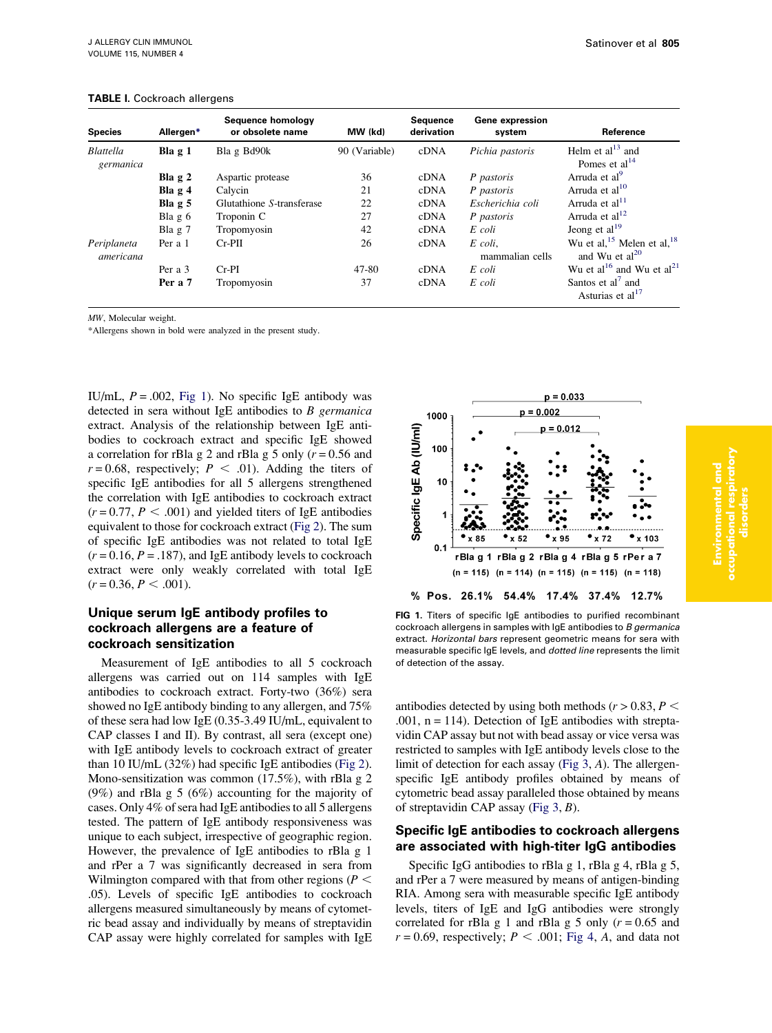| <b>Species</b>                | Allergen* | Sequence homology<br>or obsolete name | MW (kd)       | Sequence<br>derivation | Gene expression<br>system  | Reference                                               |
|-------------------------------|-----------|---------------------------------------|---------------|------------------------|----------------------------|---------------------------------------------------------|
| <b>Blattella</b><br>germanica | Bla $g_1$ | Bla g Bd90k                           | 90 (Variable) | cDNA                   | Pichia pastoris            | Helm et al $^{13}$ and<br>Pomes et al <sup>14</sup>     |
|                               | Bla $g2$  | Aspartic protease                     | 36            | cDNA                   | P pastoris                 | Arruda et al <sup>9</sup>                               |
|                               | Bla $g4$  | Calycin                               | 21            | cDNA                   | P pastoris                 | Arruda et al <sup>10</sup>                              |
|                               | Bla $g5$  | Glutathione S-transferase             | 22            | cDNA                   | Escherichia coli           | Arruda et al <sup>11</sup>                              |
|                               | Bla $g6$  | Troponin C                            | 27            | cDNA                   | P pastoris                 | Arruda et al <sup>12</sup>                              |
|                               | Bla $g2$  | Tropomyosin                           | 42            | cDNA                   | E coli                     | Jeong et al $^{19}$                                     |
| Periplaneta<br>americana      | Per a 1   | $Cr-PII$                              | 26            | cDNA                   | E coli.<br>mammalian cells | Wu et al, $15$ Melen et al, $18$<br>and Wu et $al^{20}$ |
|                               | Per a 3   | $Cr-PI$                               | 47-80         | cDNA                   | E coli                     | Wu et al <sup>16</sup> and Wu et al <sup>21</sup>       |
|                               | Per a 7   | Tropomyosin                           | 37            | cDNA                   | E coli                     | Santos et al' and<br>Asturias et al <sup>17</sup>       |

#### <span id="page-2-0"></span>TABLE I. Cockroach allergens

MW, Molecular weight.

\*Allergens shown in bold were analyzed in the present study.

IU/mL,  $P = .002$ , Fig 1). No specific IgE antibody was detected in sera without IgE antibodies to  $B$  germanica extract. Analysis of the relationship between IgE antibodies to cockroach extract and specific IgE showed a correlation for rBla g 2 and rBla g 5 only ( $r = 0.56$  and  $r = 0.68$ , respectively;  $P \le .01$ ). Adding the titers of specific IgE antibodies for all 5 allergens strengthened the correlation with IgE antibodies to cockroach extract  $(r = 0.77, P < .001)$  and yielded titers of IgE antibodies equivalent to those for cockroach extract ([Fig 2](#page-3-0)). The sum of specific IgE antibodies was not related to total IgE  $(r = 0.16, P = .187)$ , and IgE antibody levels to cockroach extract were only weakly correlated with total IgE  $(r = 0.36, P < .001).$ 

## Unique serum IgE antibody profiles to cockroach allergens are a feature of cockroach sensitization

Measurement of IgE antibodies to all 5 cockroach allergens was carried out on 114 samples with IgE antibodies to cockroach extract. Forty-two (36%) sera showed no IgE antibody binding to any allergen, and 75% of these sera had low IgE (0.35-3.49 IU/mL, equivalent to CAP classes I and II). By contrast, all sera (except one) with IgE antibody levels to cockroach extract of greater than 10 IU/mL (32%) had specific IgE antibodies ([Fig 2\)](#page-3-0). Mono-sensitization was common (17.5%), with rBla g 2 (9%) and rBla g 5 (6%) accounting for the majority of cases. Only 4% of sera had IgE antibodies to all 5 allergens tested. The pattern of IgE antibody responsiveness was unique to each subject, irrespective of geographic region. However, the prevalence of IgE antibodies to rBla g 1 and rPer a 7 was significantly decreased in sera from Wilmington compared with that from other regions ( $P <$ .05). Levels of specific IgE antibodies to cockroach allergens measured simultaneously by means of cytometric bead assay and individually by means of streptavidin CAP assay were highly correlated for samples with IgE



FIG 1. Titers of specific IgE antibodies to purified recombinant cockroach allergens in samples with IgE antibodies to B germanica extract. Horizontal bars represent geometric means for sera with measurable specific IgE levels, and dotted line represents the limit of detection of the assay.

antibodies detected by using both methods ( $r > 0.83$ ,  $P <$ .001,  $n = 114$ ). Detection of IgE antibodies with streptavidin CAP assay but not with bead assay or vice versa was restricted to samples with IgE antibody levels close to the limit of detection for each assay [\(Fig 3](#page-3-0), A). The allergenspecific IgE antibody profiles obtained by means of cytometric bead assay paralleled those obtained by means of streptavidin CAP assay (Fig  $3, B$ ).

## Specific IgE antibodies to cockroach allergens are associated with high-titer IgG antibodies

Specific IgG antibodies to rBla g 1, rBla g 4, rBla g 5, and rPer a 7 were measured by means of antigen-binding RIA. Among sera with measurable specific IgE antibody levels, titers of IgE and IgG antibodies were strongly correlated for rBla g 1 and rBla g 5 only  $(r = 0.65$  and  $r = 0.69$ , respectively;  $P < .001$ ; [Fig 4](#page-4-0), A, and data not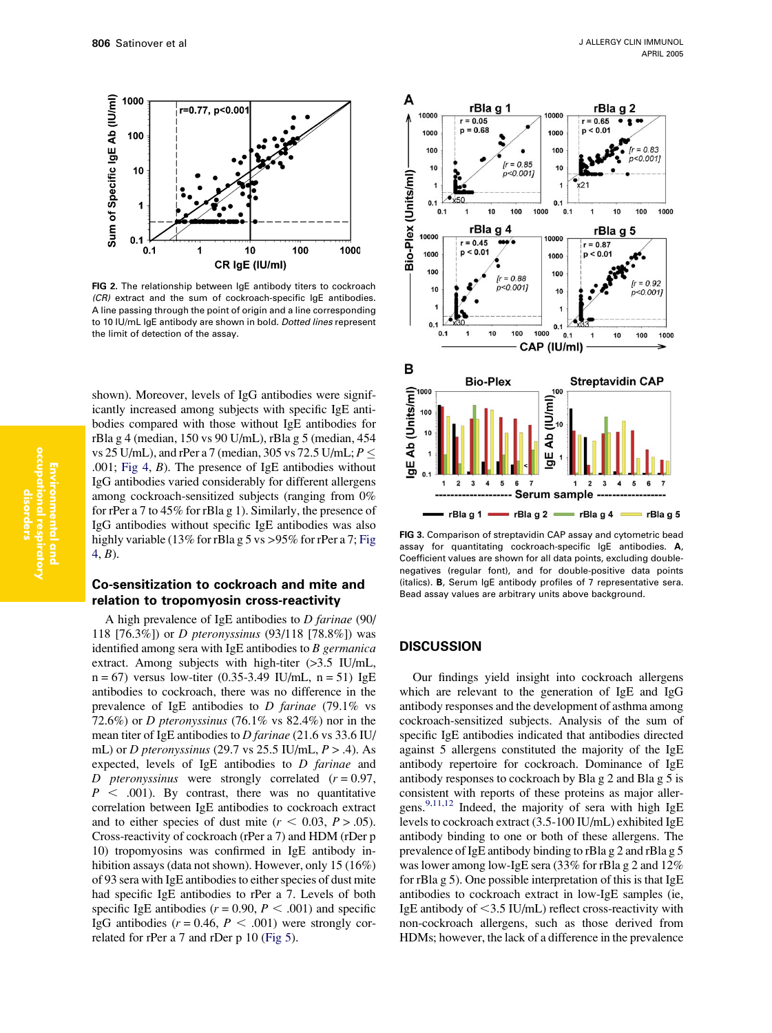<span id="page-3-0"></span>

FIG 2. The relationship between IgE antibody titers to cockroach (CR) extract and the sum of cockroach-specific IgE antibodies. A line passing through the point of origin and a line corresponding to 10 IU/mL IgE antibody are shown in bold. Dotted lines represent the limit of detection of the assay.

shown). Moreover, levels of IgG antibodies were significantly increased among subjects with specific IgE antibodies compared with those without IgE antibodies for rBla g 4 (median, 150 vs 90 U/mL), rBla g 5 (median, 454 vs 25 U/mL), and rPer a 7 (median, 305 vs 72.5 U/mL;  $P \le$ .001; [Fig 4,](#page-4-0) B). The presence of IgE antibodies without IgG antibodies varied considerably for different allergens among cockroach-sensitized subjects (ranging from 0% for rPer a 7 to 45% for rBla g 1). Similarly, the presence of IgG antibodies without specific IgE antibodies was also highly variable (13% for rBla g 5 vs > 95% for rPer a 7; [Fig](#page-4-0) [4](#page-4-0), B).

## Co-sensitization to cockroach and mite and relation to tropomyosin cross-reactivity

A high prevalence of IgE antibodies to D farinae (90/ 118 [76.3%]) or D pteronyssinus (93/118 [78.8%]) was identified among sera with IgE antibodies to  $B$  germanica extract. Among subjects with high-titer (>3.5 IU/mL,  $n = 67$ ) versus low-titer (0.35-3.49 IU/mL,  $n = 51$ ) IgE antibodies to cockroach, there was no difference in the prevalence of IgE antibodies to D farinae (79.1% vs 72.6%) or D pteronyssinus (76.1% vs 82.4%) nor in the mean titer of IgE antibodies to D farinae (21.6 vs 33.6 IU/ mL) or *D* pteronyssinus (29.7 vs 25.5 IU/mL,  $P > .4$ ). As expected, levels of IgE antibodies to D farinae and D pteronyssinus were strongly correlated  $(r = 0.97,$  $P < .001$ ). By contrast, there was no quantitative correlation between IgE antibodies to cockroach extract and to either species of dust mite ( $r < 0.03$ ,  $P > .05$ ). Cross-reactivity of cockroach (rPer a 7) and HDM (rDer p 10) tropomyosins was confirmed in IgE antibody inhibition assays (data not shown). However, only 15 (16%) of 93 sera with IgE antibodies to either species of dust mite had specific IgE antibodies to rPer a 7. Levels of both specific IgE antibodies ( $r = 0.90$ ,  $P < .001$ ) and specific IgG antibodies ( $r = 0.46$ ,  $P < .001$ ) were strongly correlated for rPer a 7 and rDer p 10 [\(Fig 5\)](#page-4-0).



FIG 3. Comparison of streptavidin CAP assay and cytometric bead assay for quantitating cockroach-specific IgE antibodies. A, Coefficient values are shown for all data points, excluding doublenegatives (regular font), and for double-positive data points (italics). B, Serum IgE antibody profiles of 7 representative sera. Bead assay values are arbitrary units above background.

#### **DISCUSSION**

Our findings yield insight into cockroach allergens which are relevant to the generation of IgE and IgG antibody responses and the development of asthma among cockroach-sensitized subjects. Analysis of the sum of specific IgE antibodies indicated that antibodies directed against 5 allergens constituted the majority of the IgE antibody repertoire for cockroach. Dominance of IgE antibody responses to cockroach by Bla g 2 and Bla g 5 is consistent with reports of these proteins as major aller-gens.<sup>[9,11,12](#page-5-0)</sup> Indeed, the majority of sera with high IgE levels to cockroach extract (3.5-100 IU/mL) exhibited IgE antibody binding to one or both of these allergens. The prevalence of IgE antibody binding to rBla g 2 and rBla g 5 was lower among low-IgE sera (33% for rBla g 2 and 12% for rBla g 5). One possible interpretation of this is that IgE antibodies to cockroach extract in low-IgE samples (ie, IgE antibody of  $\leq$ 3.5 IU/mL) reflect cross-reactivity with non-cockroach allergens, such as those derived from HDMs; however, the lack of a difference in the prevalence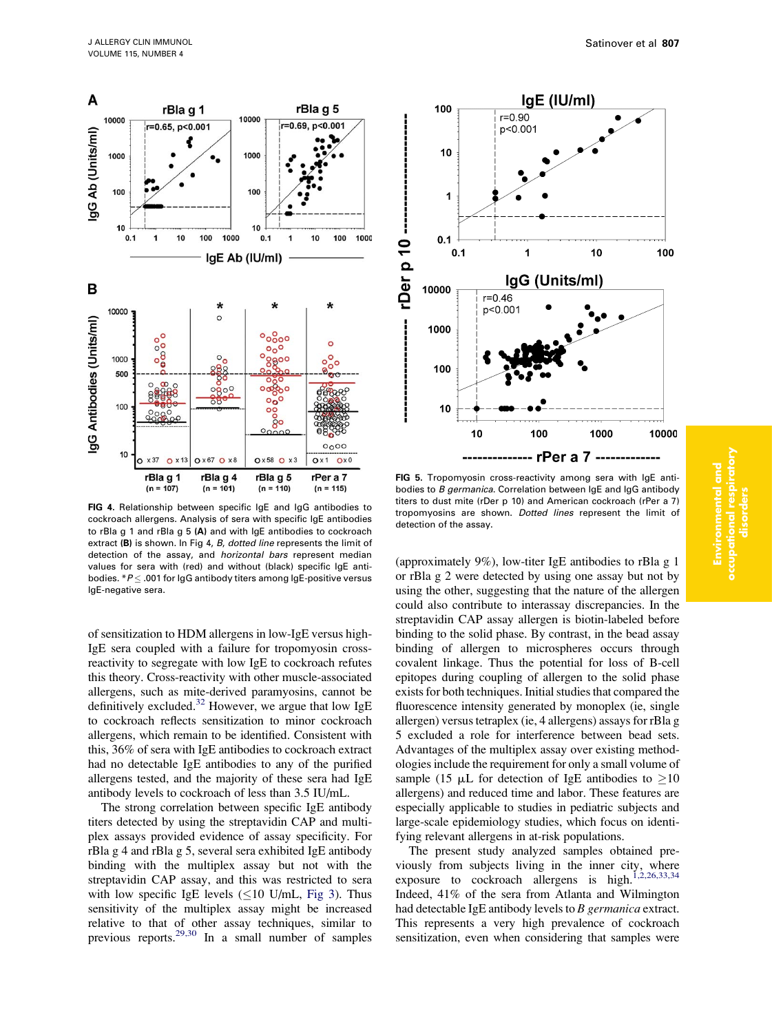<span id="page-4-0"></span>

FIG 4. Relationship between specific IgE and IgG antibodies to cockroach allergens. Analysis of sera with specific IgE antibodies to rBla g 1 and rBla g 5 (A) and with IgE antibodies to cockroach extract (B) is shown. In Fig 4, B, dotted line represents the limit of detection of the assay, and horizontal bars represent median values for sera with (red) and without (black) specific IgE antibodies.  $*P \leq .001$  for IgG antibody titers among IgE-positive versus IgE-negative sera.

of sensitization to HDM allergens in low-IgE versus high-IgE sera coupled with a failure for tropomyosin crossreactivity to segregate with low IgE to cockroach refutes this theory. Cross-reactivity with other muscle-associated allergens, such as mite-derived paramyosins, cannot be definitively excluded.<sup>[32](#page-6-0)</sup> However, we argue that low IgE to cockroach reflects sensitization to minor cockroach allergens, which remain to be identified. Consistent with this, 36% of sera with IgE antibodies to cockroach extract had no detectable IgE antibodies to any of the purified allergens tested, and the majority of these sera had IgE antibody levels to cockroach of less than 3.5 IU/mL.

The strong correlation between specific IgE antibody titers detected by using the streptavidin CAP and multiplex assays provided evidence of assay specificity. For rBla g 4 and rBla g 5, several sera exhibited IgE antibody binding with the multiplex assay but not with the streptavidin CAP assay, and this was restricted to sera with low specific IgE levels  $(\leq 10 \text{ U/mL}, \text{Fig 3})$ . Thus sensitivity of the multiplex assay might be increased relative to that of other assay techniques, similar to previous reports.<sup>[29,30](#page-6-0)</sup> In a small number of samples



FIG 5. Tropomyosin cross-reactivity among sera with IgE antibodies to B germanica. Correlation between IgE and IgG antibody titers to dust mite (rDer p 10) and American cockroach (rPer a 7) tropomyosins are shown. Dotted lines represent the limit of detection of the assay.

(approximately 9%), low-titer IgE antibodies to rBla g 1 or rBla g 2 were detected by using one assay but not by using the other, suggesting that the nature of the allergen could also contribute to interassay discrepancies. In the streptavidin CAP assay allergen is biotin-labeled before binding to the solid phase. By contrast, in the bead assay binding of allergen to microspheres occurs through covalent linkage. Thus the potential for loss of B-cell epitopes during coupling of allergen to the solid phase exists for both techniques. Initial studies that compared the fluorescence intensity generated by monoplex (ie, single allergen) versus tetraplex (ie, 4 allergens) assays for rBla g 5 excluded a role for interference between bead sets. Advantages of the multiplex assay over existing methodologies include the requirement for only a small volume of sample (15  $\mu$ L for detection of IgE antibodies to  $\geq$ 10 allergens) and reduced time and labor. These features are especially applicable to studies in pediatric subjects and large-scale epidemiology studies, which focus on identifying relevant allergens in at-risk populations.

The present study analyzed samples obtained previously from subjects living in the inner city, where exposure to cockroach allergens is high.<sup>[1,2,26,33,34](#page-5-0)</sup> Indeed, 41% of the sera from Atlanta and Wilmington had detectable IgE antibody levels to B germanica extract. This represents a very high prevalence of cockroach sensitization, even when considering that samples were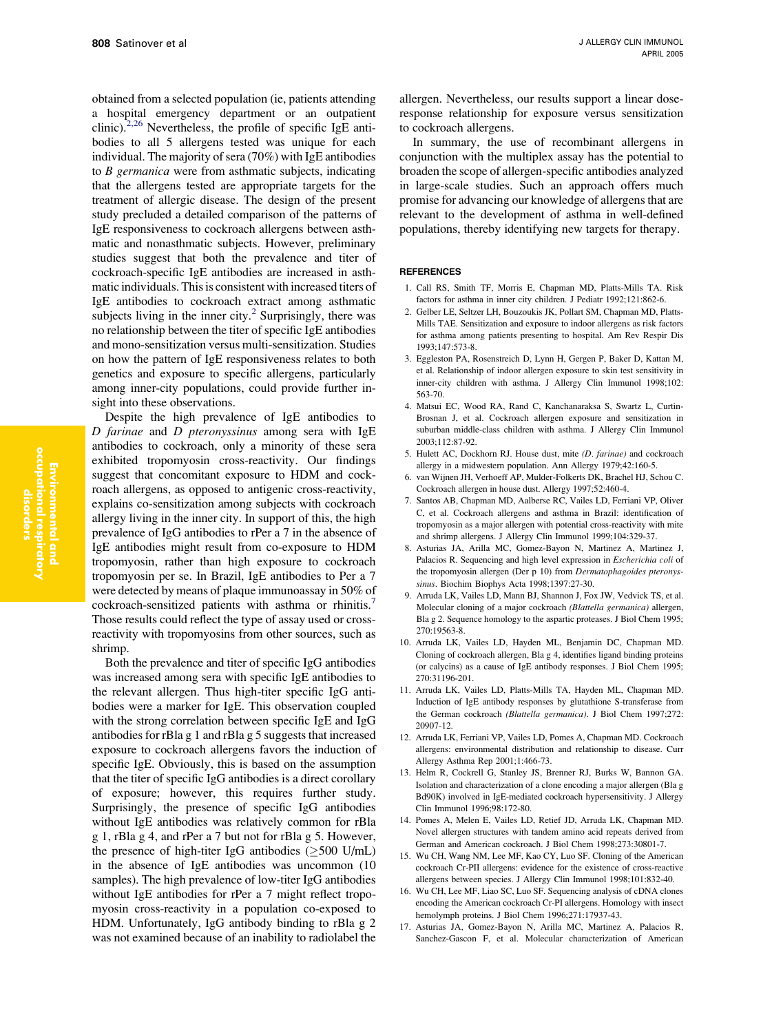<span id="page-5-0"></span>obtained from a selected population (ie, patients attending a hospital emergency department or an outpatient clinic). $2,26$  Nevertheless, the profile of specific IgE antibodies to all 5 allergens tested was unique for each individual. The majority of sera (70%) with IgE antibodies to B germanica were from asthmatic subjects, indicating that the allergens tested are appropriate targets for the treatment of allergic disease. The design of the present study precluded a detailed comparison of the patterns of IgE responsiveness to cockroach allergens between asthmatic and nonasthmatic subjects. However, preliminary studies suggest that both the prevalence and titer of cockroach-specific IgE antibodies are increased in asthmatic individuals. This is consistent with increased titers of IgE antibodies to cockroach extract among asthmatic subjects living in the inner city. $2$  Surprisingly, there was no relationship between the titer of specific IgE antibodies and mono-sensitization versus multi-sensitization. Studies on how the pattern of IgE responsiveness relates to both genetics and exposure to specific allergens, particularly among inner-city populations, could provide further insight into these observations.

Despite the high prevalence of IgE antibodies to D farinae and D pteronyssinus among sera with IgE antibodies to cockroach, only a minority of these sera exhibited tropomyosin cross-reactivity. Our findings suggest that concomitant exposure to HDM and cockroach allergens, as opposed to antigenic cross-reactivity, explains co-sensitization among subjects with cockroach allergy living in the inner city. In support of this, the high prevalence of IgG antibodies to rPer a 7 in the absence of IgE antibodies might result from co-exposure to HDM tropomyosin, rather than high exposure to cockroach tropomyosin per se. In Brazil, IgE antibodies to Per a 7 were detected by means of plaque immunoassay in 50% of cockroach-sensitized patients with asthma or rhinitis.<sup>7</sup> Those results could reflect the type of assay used or crossreactivity with tropomyosins from other sources, such as shrimp.

Both the prevalence and titer of specific IgG antibodies was increased among sera with specific IgE antibodies to the relevant allergen. Thus high-titer specific IgG antibodies were a marker for IgE. This observation coupled with the strong correlation between specific IgE and IgG antibodies for rBla g 1 and rBla g 5 suggests that increased exposure to cockroach allergens favors the induction of specific IgE. Obviously, this is based on the assumption that the titer of specific IgG antibodies is a direct corollary of exposure; however, this requires further study. Surprisingly, the presence of specific IgG antibodies without IgE antibodies was relatively common for rBla g 1, rBla g 4, and rPer a 7 but not for rBla g 5. However, the presence of high-titer IgG antibodies  $(\geq 500 \text{ U/mL})$ in the absence of IgE antibodies was uncommon (10 samples). The high prevalence of low-titer IgG antibodies without IgE antibodies for rPer a 7 might reflect tropomyosin cross-reactivity in a population co-exposed to HDM. Unfortunately, IgG antibody binding to rBla g 2 was not examined because of an inability to radiolabel the allergen. Nevertheless, our results support a linear doseresponse relationship for exposure versus sensitization to cockroach allergens.

In summary, the use of recombinant allergens in conjunction with the multiplex assay has the potential to broaden the scope of allergen-specific antibodies analyzed in large-scale studies. Such an approach offers much promise for advancing our knowledge of allergens that are relevant to the development of asthma in well-defined populations, thereby identifying new targets for therapy.

#### **REFERENCES**

- 1. Call RS, Smith TF, Morris E, Chapman MD, Platts-Mills TA. Risk factors for asthma in inner city children. J Pediatr 1992;121:862-6.
- 2. Gelber LE, Seltzer LH, Bouzoukis JK, Pollart SM, Chapman MD, Platts-Mills TAE. Sensitization and exposure to indoor allergens as risk factors for asthma among patients presenting to hospital. Am Rev Respir Dis 1993;147:573-8.
- 3. Eggleston PA, Rosenstreich D, Lynn H, Gergen P, Baker D, Kattan M, et al. Relationship of indoor allergen exposure to skin test sensitivity in inner-city children with asthma. J Allergy Clin Immunol 1998;102: 563-70.
- 4. Matsui EC, Wood RA, Rand C, Kanchanaraksa S, Swartz L, Curtin-Brosnan J, et al. Cockroach allergen exposure and sensitization in suburban middle-class children with asthma. J Allergy Clin Immunol 2003;112:87-92.
- 5. Hulett AC, Dockhorn RJ. House dust, mite (D. farinae) and cockroach allergy in a midwestern population. Ann Allergy 1979;42:160-5.
- 6. van Wijnen JH, Verhoeff AP, Mulder-Folkerts DK, Brachel HJ, Schou C. Cockroach allergen in house dust. Allergy 1997;52:460-4.
- 7. Santos AB, Chapman MD, Aalberse RC, Vailes LD, Ferriani VP, Oliver C, et al. Cockroach allergens and asthma in Brazil: identification of tropomyosin as a major allergen with potential cross-reactivity with mite and shrimp allergens. J Allergy Clin Immunol 1999;104:329-37.
- 8. Asturias JA, Arilla MC, Gomez-Bayon N, Martinez A, Martinez J, Palacios R. Sequencing and high level expression in Escherichia coli of the tropomyosin allergen (Der p 10) from *Dermatophagoides pteronys*sinus. Biochim Biophys Acta 1998;1397:27-30.
- 9. Arruda LK, Vailes LD, Mann BJ, Shannon J, Fox JW, Vedvick TS, et al. Molecular cloning of a major cockroach (Blattella germanica) allergen, Bla g 2. Sequence homology to the aspartic proteases. J Biol Chem 1995; 270:19563-8.
- 10. Arruda LK, Vailes LD, Hayden ML, Benjamin DC, Chapman MD. Cloning of cockroach allergen, Bla g 4, identifies ligand binding proteins (or calycins) as a cause of IgE antibody responses. J Biol Chem 1995; 270:31196-201.
- 11. Arruda LK, Vailes LD, Platts-Mills TA, Hayden ML, Chapman MD. Induction of IgE antibody responses by glutathione S-transferase from the German cockroach (Blattella germanica). J Biol Chem 1997;272: 20907-12.
- 12. Arruda LK, Ferriani VP, Vailes LD, Pomes A, Chapman MD. Cockroach allergens: environmental distribution and relationship to disease. Curr Allergy Asthma Rep 2001;1:466-73.
- 13. Helm R, Cockrell G, Stanley JS, Brenner RJ, Burks W, Bannon GA. Isolation and characterization of a clone encoding a major allergen (Bla g Bd90K) involved in IgE-mediated cockroach hypersensitivity. J Allergy Clin Immunol 1996;98:172-80.
- 14. Pomes A, Melen E, Vailes LD, Retief JD, Arruda LK, Chapman MD. Novel allergen structures with tandem amino acid repeats derived from German and American cockroach. J Biol Chem 1998;273:30801-7.
- 15. Wu CH, Wang NM, Lee MF, Kao CY, Luo SF. Cloning of the American cockroach Cr-PII allergens: evidence for the existence of cross-reactive allergens between species. J Allergy Clin Immunol 1998;101:832-40.
- 16. Wu CH, Lee MF, Liao SC, Luo SF. Sequencing analysis of cDNA clones encoding the American cockroach Cr-PI allergens. Homology with insect hemolymph proteins. J Biol Chem 1996;271:17937-43.
- 17. Asturias JA, Gomez-Bayon N, Arilla MC, Martinez A, Palacios R, Sanchez-Gascon F, et al. Molecular characterization of American